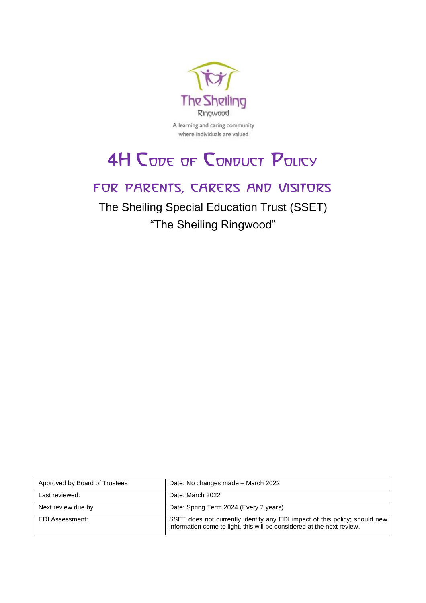

A learning and caring community where individuals are valued

# **4H CODE OF CONDUCT POLICY**

# for parents, carers and visitors

The Sheiling Special Education Trust (SSET) "The Sheiling Ringwood"

| Approved by Board of Trustees | Date: No changes made - March 2022                                                                                                                   |
|-------------------------------|------------------------------------------------------------------------------------------------------------------------------------------------------|
| Last reviewed:                | Date: March 2022                                                                                                                                     |
| Next review due by            | Date: Spring Term 2024 (Every 2 years)                                                                                                               |
| EDI Assessment:               | SSET does not currently identify any EDI impact of this policy; should new<br>information come to light, this will be considered at the next review. |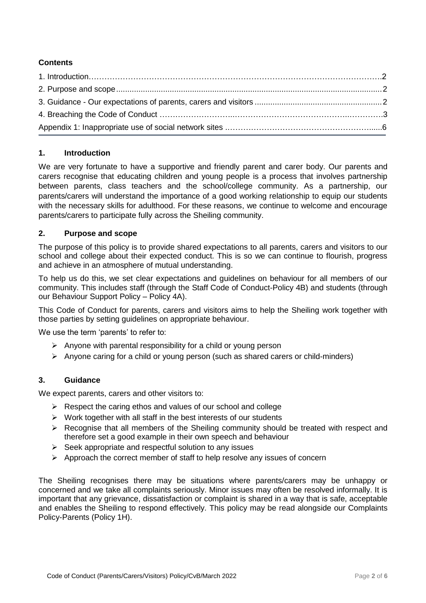# **Contents**

## <span id="page-1-0"></span>**1. Introduction**

We are very fortunate to have a supportive and friendly parent and carer body. Our parents and carers recognise that educating children and young people is a process that involves partnership between parents, class teachers and the school/college community. As a partnership, our parents/carers will understand the importance of a good working relationship to equip our students with the necessary skills for adulthood. For these reasons, we continue to welcome and encourage parents/carers to participate fully across the Sheiling community.

## **2. Purpose and scope**

The purpose of this policy is to provide shared expectations to all parents, carers and visitors to our school and college about their expected conduct. This is so we can continue to flourish, progress and achieve in an atmosphere of mutual understanding.

To help us do this, we set clear expectations and guidelines on behaviour for all members of our community. This includes staff (through the Staff Code of Conduct-Policy 4B) and students (through our Behaviour Support Policy – Policy 4A).

This Code of Conduct for parents, carers and visitors aims to help the Sheiling work together with those parties by setting guidelines on appropriate behaviour.

We use the term 'parents' to refer to:

- $\triangleright$  Anyone with parental responsibility for a child or young person
- $\triangleright$  Anyone caring for a child or young person (such as shared carers or child-minders)

# **3. Guidance**

We expect parents, carers and other visitors to:

- $\triangleright$  Respect the caring ethos and values of our school and college
- $\triangleright$  Work together with all staff in the best interests of our students
- $\triangleright$  Recognise that all members of the Sheiling community should be treated with respect and therefore set a good example in their own speech and behaviour
- $\triangleright$  Seek appropriate and respectful solution to any issues
- $\triangleright$  Approach the correct member of staff to help resolve any issues of concern

<span id="page-1-1"></span>The Sheiling recognises there may be situations where parents/carers may be unhappy or concerned and we take all complaints seriously. Minor issues may often be resolved informally. It is important that any grievance, dissatisfaction or complaint is shared in a way that is safe, acceptable and enables the Sheiling to respond effectively. This policy may be read alongside our Complaints Policy-Parents (Policy 1H).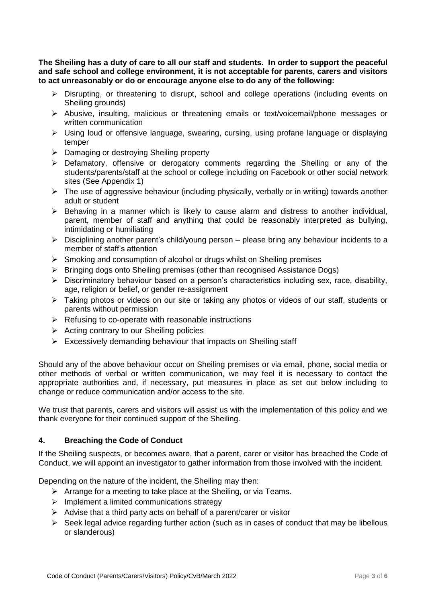**The Sheiling has a duty of care to all our staff and students. In order to support the peaceful and safe school and college environment, it is not acceptable for parents, carers and visitors to act unreasonably or do or encourage anyone else to do any of the following:**

- $\triangleright$  Disrupting, or threatening to disrupt, school and college operations (including events on Sheiling grounds)
- Abusive, insulting, malicious or threatening emails or text/voicemail/phone messages or written communication
- Using loud or offensive language, swearing, cursing, using profane language or displaying temper
- $\triangleright$  Damaging or destroying Sheiling property
- Defamatory, offensive or derogatory comments regarding the Sheiling or any of the students/parents/staff at the school or college including on Facebook or other social network sites (See Appendix 1)
- $\triangleright$  The use of aggressive behaviour (including physically, verbally or in writing) towards another adult or student
- $\triangleright$  Behaving in a manner which is likely to cause alarm and distress to another individual, parent, member of staff and anything that could be reasonably interpreted as bullying, intimidating or humiliating
- $\triangleright$  Disciplining another parent's child/young person please bring any behaviour incidents to a member of staff's attention
- $\triangleright$  Smoking and consumption of alcohol or drugs whilst on Sheiling premises
- Bringing dogs onto Sheiling premises (other than recognised Assistance Dogs)
- $\triangleright$  Discriminatory behaviour based on a person's characteristics including sex, race, disability, age, religion or belief, or gender re-assignment
- > Taking photos or videos on our site or taking any photos or videos of our staff, students or parents without permission
- $\triangleright$  Refusing to co-operate with reasonable instructions
- $\triangleright$  Acting contrary to our Sheiling policies
- $\triangleright$  Excessively demanding behaviour that impacts on Sheiling staff

Should any of the above behaviour occur on Sheiling premises or via email, phone, social media or other methods of verbal or written communication, we may feel it is necessary to contact the appropriate authorities and, if necessary, put measures in place as set out below including to change or reduce communication and/or access to the site.

We trust that parents, carers and visitors will assist us with the implementation of this policy and we thank everyone for their continued support of the Sheiling.

#### **4. Breaching the Code of Conduct**

If the Sheiling suspects, or becomes aware, that a parent, carer or visitor has breached the Code of Conduct, we will appoint an investigator to gather information from those involved with the incident.

Depending on the nature of the incident, the Sheiling may then:

- $\triangleright$  Arrange for a meeting to take place at the Sheiling, or via Teams.
- $\triangleright$  Implement a limited communications strategy
- $\triangleright$  Advise that a third party acts on behalf of a parent/carer or visitor
- $\triangleright$  Seek legal advice regarding further action (such as in cases of conduct that may be libellous or slanderous)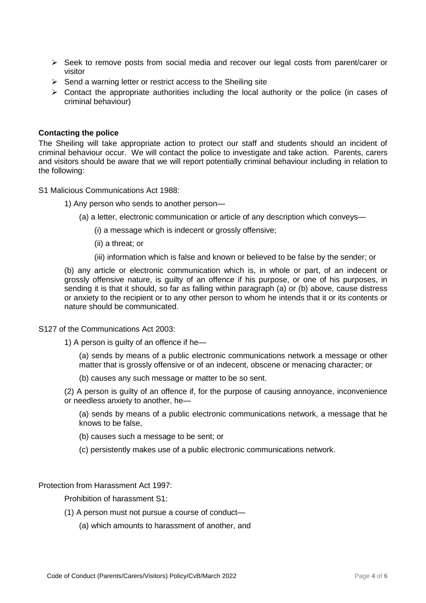- $\triangleright$  Seek to remove posts from social media and recover our legal costs from parent/carer or visitor
- $\triangleright$  Send a warning letter or restrict access to the Sheiling site
- $\triangleright$  Contact the appropriate authorities including the local authority or the police (in cases of criminal behaviour)

#### **Contacting the police**

The Sheiling will take appropriate action to protect our staff and students should an incident of criminal behaviour occur. We will contact the police to investigate and take action. Parents, carers and visitors should be aware that we will report potentially criminal behaviour including in relation to the following:

S1 Malicious Communications Act 1988:

- 1) Any person who sends to another person—
	- (a) a letter, electronic communication or article of any description which conveys—
		- (i) a message which is indecent or grossly offensive;
		- (ii) a threat; or
		- (iii) information which is false and known or believed to be false by the sender; or

(b) any article or electronic communication which is, in whole or part, of an indecent or grossly offensive nature, is guilty of an offence if his purpose, or one of his purposes, in sending it is that it should, so far as falling within paragraph (a) or (b) above, cause distress or anxiety to the recipient or to any other person to whom he intends that it or its contents or nature should be communicated.

S127 of the Communications Act 2003:

1) A person is guilty of an offence if he—

(a) sends by means of a public electronic communications network a message or other matter that is grossly offensive or of an indecent, obscene or menacing character; or

(b) causes any such message or matter to be so sent.

(2) A person is guilty of an offence if, for the purpose of causing annoyance, inconvenience or needless anxiety to another, he—

(a) sends by means of a public electronic communications network, a message that he knows to be false,

- (b) causes such a message to be sent; or
- (c) persistently makes use of a public electronic communications network.

Protection from Harassment Act 1997:

Prohibition of harassment S1:

- (1) A person must not pursue a course of conduct—
	- (a) which amounts to harassment of another, and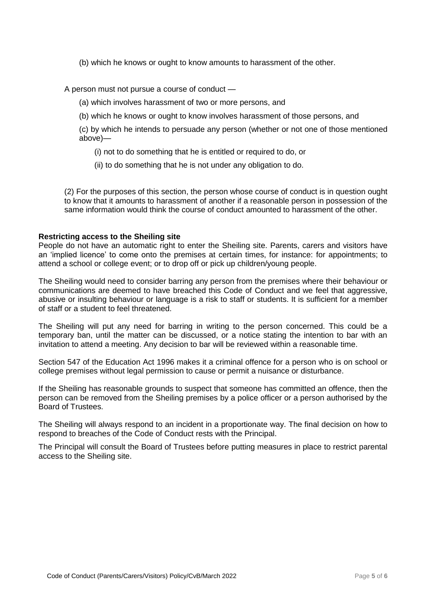(b) which he knows or ought to know amounts to harassment of the other.

A person must not pursue a course of conduct —

- (a) which involves harassment of two or more persons, and
- (b) which he knows or ought to know involves harassment of those persons, and

(c) by which he intends to persuade any person (whether or not one of those mentioned above)—

(i) not to do something that he is entitled or required to do, or

(ii) to do something that he is not under any obligation to do.

(2) For the purposes of this section, the person whose course of conduct is in question ought to know that it amounts to harassment of another if a reasonable person in possession of the same information would think the course of conduct amounted to harassment of the other.

#### **Restricting access to the Sheiling site**

People do not have an automatic right to enter the Sheiling site. Parents, carers and visitors have an 'implied licence' to come onto the premises at certain times, for instance: for appointments; to attend a school or college event; or to drop off or pick up children/young people.

The Sheiling would need to consider barring any person from the premises where their behaviour or communications are deemed to have breached this Code of Conduct and we feel that aggressive, abusive or insulting behaviour or language is a risk to staff or students. It is sufficient for a member of staff or a student to feel threatened.

The Sheiling will put any need for barring in writing to the person concerned. This could be a temporary ban, until the matter can be discussed, or a notice stating the intention to bar with an invitation to attend a meeting. Any decision to bar will be reviewed within a reasonable time.

Section 547 of the Education Act 1996 makes it a criminal offence for a person who is on school or college premises without legal permission to cause or permit a nuisance or disturbance.

If the Sheiling has reasonable grounds to suspect that someone has committed an offence, then the person can be removed from the Sheiling premises by a police officer or a person authorised by the Board of Trustees.

The Sheiling will always respond to an incident in a proportionate way. The final decision on how to respond to breaches of the Code of Conduct rests with the Principal.

The Principal will consult the Board of Trustees before putting measures in place to restrict parental access to the Sheiling site.